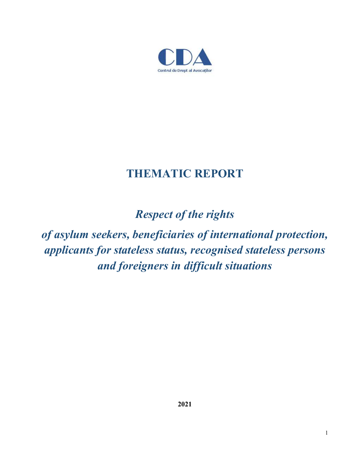

# **THEMATIC REPORT**

*Respect of the rights*

*of asylum seekers, beneficiaries of international protection, applicants for stateless status, recognised stateless persons and foreigners in difficult situations*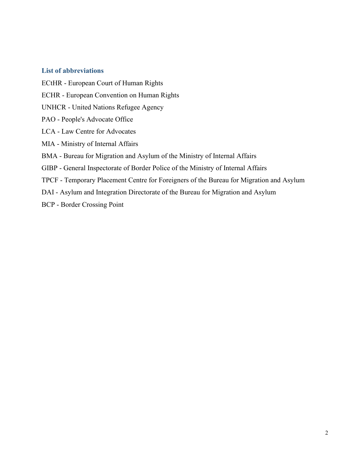## **List of abbreviations**

ECtHR - European Court of Human Rights ECHR - European Convention on Human Rights UNHCR - United Nations Refugee Agency PAO - People's Advocate Office LCA - Law Centre for Advocates MIA - Ministry of Internal Affairs BMA - Bureau for Migration and Asylum of the Ministry of Internal Affairs GIBP - General Inspectorate of Border Police of the Ministry of Internal Affairs TPCF - Temporary Placement Centre for Foreigners of the Bureau for Migration and Asylum DAI - Asylum and Integration Directorate of the Bureau for Migration and Asylum BCP - Border Crossing Point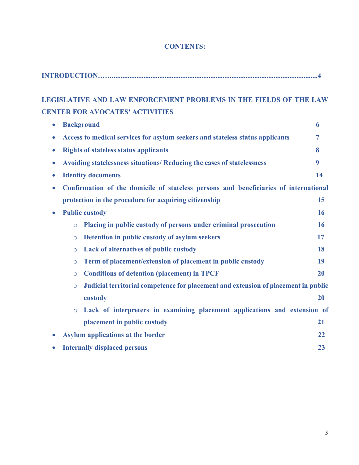| <b>CONTENTS:</b> |  |
|------------------|--|
|------------------|--|

**INTRODUCTION…….....................................................................................................................4**

| <b>LEGISLATIVE AND LAW ENFORCEMENT PROBLEMS IN THE FIELDS OF THE LAW</b>                          |                |
|---------------------------------------------------------------------------------------------------|----------------|
|                                                                                                   |                |
| <b>CENTER FOR AVOCATES' ACTIVITIES</b>                                                            |                |
| <b>Background</b><br>$\bullet$                                                                    | 6              |
| Access to medical services for asylum seekers and stateless status applicants<br>$\bullet$        | $\overline{7}$ |
| <b>Rights of stateless status applicants</b><br>$\bullet$                                         | 8              |
| Avoiding statelessness situations/ Reducing the cases of statelessness<br>$\bullet$               | 9              |
| <b>Identity documents</b><br>$\bullet$                                                            | 14             |
| Confirmation of the domicile of stateless persons and beneficiaries of international<br>$\bullet$ |                |
| protection in the procedure for acquiring citizenship                                             | 15             |
| <b>Public custody</b><br>$\bullet$                                                                | 16             |
| Placing in public custody of persons under criminal prosecution<br>$\circ$                        | 16             |
| Detention in public custody of asylum seekers<br>$\circ$                                          | 17             |
| Lack of alternatives of public custody<br>$\circ$                                                 | 18             |
| Term of placement/extension of placement in public custody<br>$\circ$                             | 19             |
| <b>Conditions of detention (placement) in TPCF</b><br>$\circ$                                     | 20             |
| Judicial territorial competence for placement and extension of placement in public<br>$\circ$     |                |
| custody                                                                                           | 20             |
| Lack of interpreters in examining placement applications and extension of<br>$\circ$              |                |
| placement in public custody                                                                       | 21             |
| <b>Asylum applications at the border</b><br>$\bullet$                                             | 22             |
| <b>Internally displaced persons</b>                                                               | 23             |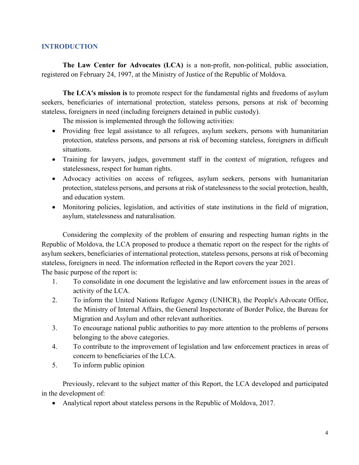## **INTRODUCTION**

**The Law Center for Advocates (LCA)** is a non-profit, non-political, public association, registered on February 24, 1997, at the Ministry of Justice of the Republic of Moldova.

**The LCA's mission is** to promote respect for the fundamental rights and freedoms of asylum seekers, beneficiaries of international protection, stateless persons, persons at risk of becoming stateless, foreigners in need (including foreigners detained in public custody).

The mission is implemented through the following activities:

- Providing free legal assistance to all refugees, asylum seekers, persons with humanitarian protection, stateless persons, and persons at risk of becoming stateless, foreigners in difficult situations.
- Training for lawyers, judges, government staff in the context of migration, refugees and statelessness, respect for human rights.
- Advocacy activities on access of refugees, asylum seekers, persons with humanitarian protection, stateless persons, and persons at risk of statelessness to the social protection, health, and education system.
- Monitoring policies, legislation, and activities of state institutions in the field of migration, asylum, statelessness and naturalisation.

Considering the complexity of the problem of ensuring and respecting human rights in the Republic of Moldova, the LCA proposed to produce a thematic report on the respect for the rights of asylum seekers, beneficiaries of international protection, stateless persons, persons at risk of becoming stateless, foreigners in need. The information reflected in the Report covers the year 2021. The basic purpose of the report is:

- 1. To consolidate in one document the legislative and law enforcement issues in the areas of activity of the LCA.
- 2. To inform the United Nations Refugee Agency (UNHCR), the People's Advocate Office, the Ministry of Internal Affairs, the General Inspectorate of Border Police, the Bureau for Migration and Asylum and other relevant authorities.
- 3. To encourage national public authorities to pay more attention to the problems of persons belonging to the above categories.
- 4. To contribute to the improvement of legislation and law enforcement practices in areas of concern to beneficiaries of the LCA.
- 5. To inform public opinion

Previously, relevant to the subject matter of this Report, the LCA developed and participated in the development of:

• Analytical report about stateless persons in the Republic of Moldova, 2017.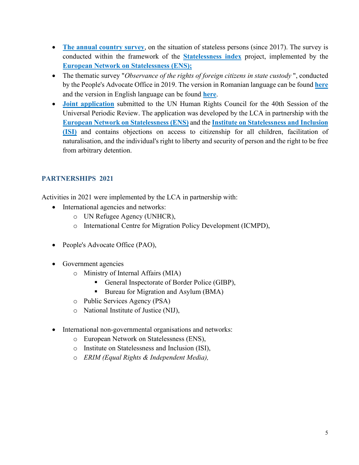- The annual country survey, on the situation of stateless persons (since 2017). The survey is conducted within the framework of the **Statelessness index** project, implemented by the **European Network on Statelessness (ENS);**
- The thematic survey "*Observance of the rights of foreign citizens in state custody* ", conducted by the People's Advocate Office in 2019. The version in Romanian language can be found **here** and the version in English language can be found **here**.
- **Joint application** submitted to the UN Human Rights Council for the 40th Session of the Universal Periodic Review. The application was developed by the LCA in partnership with the **European Network on Statelessness (ENS)** and the **Institute on Statelessness and Inclusion (ISI)** and contains objections on access to citizenship for all children, facilitation of naturalisation, and the individual's right to liberty and security of person and the right to be free from arbitrary detention.

# **PARTNERSHIPS 2021**

Activities in 2021 were implemented by the LCA in partnership with:

- International agencies and networks:
	- o UN Refugee Agency (UNHCR),
	- o International Centre for Migration Policy Development (ICMPD),
- People's Advocate Office (PAO),
- Government agencies
	- o Ministry of Internal Affairs (MIA)
		- General Inspectorate of Border Police (GIBP),
		- Bureau for Migration and Asylum (BMA)
	- o Public Services Agency (PSA)
	- o National Institute of Justice (NIJ),
- International non-governmental organisations and networks:
	- o European Network on Statelessness (ENS),
	- o Institute on Statelessness and Inclusion (ISI),
	- o *ERIM (Equal Rights & Independent Media),*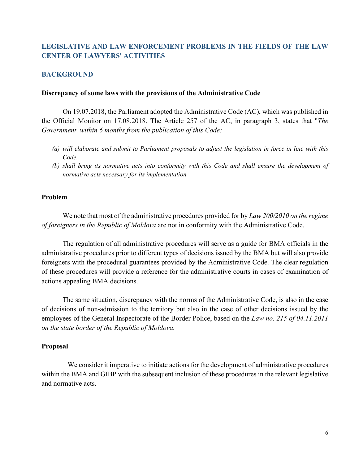# **LEGISLATIVE AND LAW ENFORCEMENT PROBLEMS IN THE FIELDS OF THE LAW CENTER OF LAWYERS' ACTIVITIES**

# **BACKGROUND**

#### **Discrepancy of some laws with the provisions of the Administrative Code**

On 19.07.2018, the Parliament adopted the Administrative Code (AC), which was published in the Official Monitor on 17.08.2018. The Article 257 of the AC, in paragraph 3, states that "*The Government, within 6 months from the publication of this Code:*

- *(a) will elaborate and submit to Parliament proposals to adjust the legislation in force in line with this Code.*
- *(b) shall bring its normative acts into conformity with this Code and shall ensure the development of normative acts necessary for its implementation.*

## **Problem**

We note that most of the administrative procedures provided for by *Law 200/2010 on the regime of foreigners in the Republic of Moldova* are not in conformity with the Administrative Code.

The regulation of all administrative procedures will serve as a guide for BMA officials in the administrative procedures prior to different types of decisions issued by the BMA but will also provide foreigners with the procedural guarantees provided by the Administrative Code. The clear regulation of these procedures will provide a reference for the administrative courts in cases of examination of actions appealing BMA decisions.

The same situation, discrepancy with the norms of the Administrative Code, is also in the case of decisions of non-admission to the territory but also in the case of other decisions issued by the employees of the General Inspectorate of the Border Police, based on the *Law no. 215 of 04.11.2011 on the state border of the Republic of Moldova.*

## **Proposal**

 We consider it imperative to initiate actions for the development of administrative procedures within the BMA and GIBP with the subsequent inclusion of these procedures in the relevant legislative and normative acts.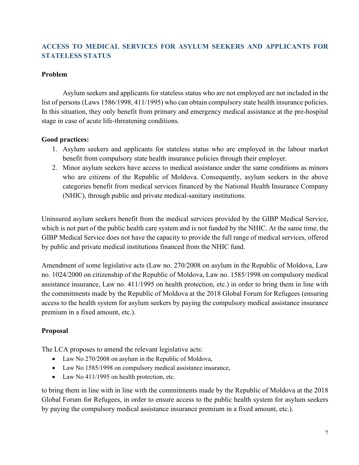# **ACCESS TO MEDICAL SERVICES FOR ASYLUM SEEKERS AND APPLICANTS FOR STATELESS STATUS**

## **Problem**

Asylum seekers and applicants for stateless status who are not employed are not included in the list of persons (Laws 1586/1998, 411/1995) who can obtain compulsory state health insurance policies. In this situation, they only benefit from primary and emergency medical assistance at the pre-hospital stage in case of acute life-threatening conditions.

# **Good practices:**

- 1. Asylum seekers and applicants for stateless status who are employed in the labour market benefit from compulsory state health insurance policies through their employer.
- 2. Minor asylum seekers have access to medical assistance under the same conditions as minors who are citizens of the Republic of Moldova. Consequently, asylum seekers in the above categories benefit from medical services financed by the National Health Insurance Company (NHIC), through public and private medical-sanitary institutions.

Uninsured asylum seekers benefit from the medical services provided by the GIBP Medical Service, which is not part of the public health care system and is not funded by the NHIC. At the same time, the GIBP Medical Service does not have the capacity to provide the full range of medical services, offered by public and private medical institutions financed from the NHIC fund.

Amendment of some legislative acts (Law no. 270/2008 on asylum in the Republic of Moldova, Law no. 1024/2000 on citizenship of the Republic of Moldova, Law no. 1585/1998 on compulsory medical assistance insurance, Law no. 411/1995 on health protection, etc.) in order to bring them in line with the commitments made by the Republic of Moldova at the 2018 Global Forum for Refugees (ensuring access to the health system for asylum seekers by paying the compulsory medical assistance insurance premium in a fixed amount, etc.).

# **Proposal**

The LCA proposes to amend the relevant legislative acts:

- Law No 270/2008 on asylum in the Republic of Moldova,
- Law No 1585/1998 on compulsory medical assistance insurance,
- Law No 411/1995 on health protection, etc.

to bring them in line with in line with the commitments made by the Republic of Moldova at the 2018 Global Forum for Refugees, in order to ensure access to the public health system for asylum seekers by paying the compulsory medical assistance insurance premium in a fixed amount, etc.).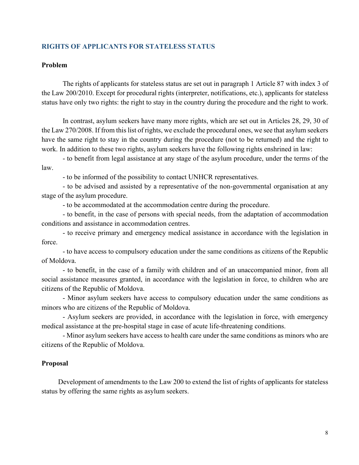## **RIGHTS OF APPLICANTS FOR STATELESS STATUS**

## **Problem**

The rights of applicants for stateless status are set out in paragraph 1 Article 87 with index 3 of the Law 200/2010. Except for procedural rights (interpreter, notifications, etc.), applicants for stateless status have only two rights: the right to stay in the country during the procedure and the right to work.

In contrast, asylum seekers have many more rights, which are set out in Articles 28, 29, 30 of the Law 270/2008. If from this list of rights, we exclude the procedural ones, we see that asylum seekers have the same right to stay in the country during the procedure (not to be returned) and the right to work. In addition to these two rights, asylum seekers have the following rights enshrined in law:

- to benefit from legal assistance at any stage of the asylum procedure, under the terms of the law.

- to be informed of the possibility to contact UNHCR representatives.

- to be advised and assisted by a representative of the non-governmental organisation at any stage of the asylum procedure.

- to be accommodated at the accommodation centre during the procedure.

- to benefit, in the case of persons with special needs, from the adaptation of accommodation conditions and assistance in accommodation centres.

- to receive primary and emergency medical assistance in accordance with the legislation in force.

- to have access to compulsory education under the same conditions as citizens of the Republic of Moldova.

- to benefit, in the case of a family with children and of an unaccompanied minor, from all social assistance measures granted, in accordance with the legislation in force, to children who are citizens of the Republic of Moldova.

- Minor asylum seekers have access to compulsory education under the same conditions as minors who are citizens of the Republic of Moldova.

- Asylum seekers are provided, in accordance with the legislation in force, with emergency medical assistance at the pre-hospital stage in case of acute life-threatening conditions.

- Minor asylum seekers have access to health care under the same conditions as minors who are citizens of the Republic of Moldova.

## **Proposal**

Development of amendments to the Law 200 to extend the list of rights of applicants for stateless status by offering the same rights as asylum seekers.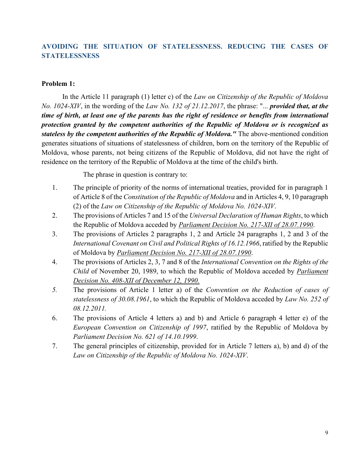# **AVOIDING THE SITUATION OF STATELESSNESS. REDUCING THE CASES OF STATELESSNESS**

## **Problem 1:**

In the Article 11 paragraph (1) letter c) of the *Law on Citizenship of the Republic of Moldova No. 1024-XIV*, in the wording of the *Law No. 132 of 21.12.2017*, the phrase: "... *provided that, at the time of birth, at least one of the parents has the right of residence or benefits from international protection granted by the competent authorities of the Republic of Moldova or is recognized as stateless by the competent authorities of the Republic of Moldova."* The above-mentioned condition generates situations of situations of statelessness of children, born on the territory of the Republic of Moldova, whose parents, not being citizens of the Republic of Moldova, did not have the right of residence on the territory of the Republic of Moldova at the time of the child's birth.

The phrase in question is contrary to:

- 1. The principle of priority of the norms of international treaties, provided for in paragraph 1 of Article 8 of the *Constitution of the Republic of Moldova* and in Articles 4, 9, 10 paragraph (2) of the *Law on Citizenship of the Republic of Moldova No. 1024-XIV*.
- 2. The provisions of Articles 7 and 15 of the *Universal Declaration of Human Rights*, to which the Republic of Moldova acceded by *Parliament Decision No. 217-XII of 28.07.1990*.
- 3. The provisions of Articles 2 paragraphs 1, 2 and Article 24 paragraphs 1, 2 and 3 of the *International Covenant on Civil and Political Rights of 16.12.1966*, ratified by the Republic of Moldova by *Parliament Decision No. 217-XII of 28.07.1990*.
- 4. The provisions of Articles 2, 3, 7 and 8 of the *International Convention on the Rights of the Child* of November 20, 1989, to which the Republic of Moldova acceded by *Parliament Decision No. 408-XII of December 12, 1990.*
- *5.* The provisions of Article 1 letter a) of the *Convention on the Reduction of cases of statelessness of 30.08.1961*, to which the Republic of Moldova acceded by *Law No. 252 of 08.12.2011.*
- 6. The provisions of Article 4 letters a) and b) and Article 6 paragraph 4 letter e) of the *European Convention on Citizenship of 1997*, ratified by the Republic of Moldova by *Parliament Decision No. 621 of 14.10.1999*.
- 7. The general principles of citizenship, provided for in Article 7 letters a), b) and d) of the *Law on Citizenship of the Republic of Moldova No. 1024-XIV*.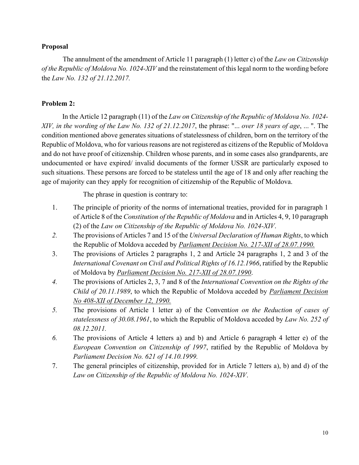## **Proposal**

The annulment of the amendment of Article 11 paragraph (1) letter c) of the *Law on Citizenship of the Republic of Moldova No. 1024-XIV* and the reinstatement of this legal norm to the wording before the *Law No. 132 of 21.12.2017.*

# **Problem 2:**

In the Article 12 paragraph (11) of the *Law on Citizenship of the Republic of Moldova No. 1024- XIV, in the wording of the Law No. 132 of 21.12.2017*, the phrase: "... *over 18 years of age*, ... ". The condition mentioned above generates situations of statelessness of children, born on the territory of the Republic of Moldova, who for various reasons are not registered as citizens of the Republic of Moldova and do not have proof of citizenship. Children whose parents, and in some cases also grandparents, are undocumented or have expired/ invalid documents of the former USSR are particularly exposed to such situations. These persons are forced to be stateless until the age of 18 and only after reaching the age of majority can they apply for recognition of citizenship of the Republic of Moldova.

The phrase in question is contrary to:

- 1. The principle of priority of the norms of international treaties, provided for in paragraph 1 of Article 8 of the *Constitution of the Republic of Moldova* and in Articles 4, 9, 10 paragraph (2) of the *Law on Citizenship of the Republic of Moldova No. 1024-XIV*.
- *2.* The provisions of Articles 7 and 15 of the *Universal Declaration of Human Rights*, to which the Republic of Moldova acceded by *Parliament Decision No. 217-XII of 28.07.1990.*
- 3. The provisions of Articles 2 paragraphs 1, 2 and Article 24 paragraphs 1, 2 and 3 of the *International Covenant on Civil and Political Rights of 16.12.1966*, ratified by the Republic of Moldova by *Parliament Decision No. 217-XII of 28.07.1990*.
- *4.* The provisions of Articles 2, 3, 7 and 8 of the *International Convention on the Rights of the Child of 20.11.1989*, to which the Republic of Moldova acceded by *Parliament Decision No 408-XII of December 12, 1990.*
- *5.* The provisions of Article 1 letter a) of the Convent*ion on the Reduction of cases of statelessness of 30.08.1961*, to which the Republic of Moldova acceded by *Law No. 252 of 08.12.2011.*
- *6.* The provisions of Article 4 letters a) and b) and Article 6 paragraph 4 letter e) of the *European Convention on Citizenship of 1997*, ratified by the Republic of Moldova by *Parliament Decision No. 621 of 14.10.1999.*
- 7. The general principles of citizenship, provided for in Article 7 letters a), b) and d) of the *Law on Citizenship of the Republic of Moldova No. 1024-XIV*.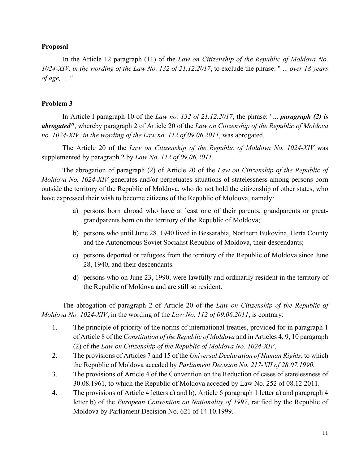## **Proposal**

In the Article 12 paragraph (11) of the *Law on Citizenship of the Republic of Moldova No. 1024-XIV, in the wording of the Law No. 132 of 21.12.2017*, to exclude the phrase: " ... *over 18 years of age, ... ".*

# **Problem 3**

In Article I paragraph 10 of the *Law no. 132 of 21.12.2017*, the phrase: "... *paragraph (2) is abrogated"*, whereby paragraph 2 of Article 20 of the *Law on Citizenship of the Republic of Moldova no. 1024-XIV, in the wording of the Law no. 112 of 09.06.2011*, was abrogated.

The Article 20 of the *Law on Citizenship of the Republic of Moldova No. 1024-XIV* was supplemented by paragraph 2 by *Law No. 112 of 09.06.2011*.

The abrogation of paragraph (2) of Article 20 of the *Law on Citizenship of the Republic of Moldova No. 1024-XIV* generates and/or perpetuates situations of statelessness among persons born outside the territory of the Republic of Moldova, who do not hold the citizenship of other states, who have expressed their wish to become citizens of the Republic of Moldova, namely:

- a) persons born abroad who have at least one of their parents, grandparents or greatgrandparents born on the territory of the Republic of Moldova;
- b) persons who until June 28. 1940 lived in Bessarabia, Northern Bukovina, Herta County and the Autonomous Soviet Socialist Republic of Moldova, their descendants;
- c) persons deported or refugees from the territory of the Republic of Moldova since June 28, 1940, and their descendants.
- d) persons who on June 23, 1990, were lawfully and ordinarily resident in the territory of the Republic of Moldova and are still so resident.

The abrogation of paragraph 2 of Article 20 of the *Law on Citizenship of the Republic of Moldova No. 1024-XIV*, in the wording of the *Law No. 112 of 09.06.2011*, is contrary:

- 1. The principle of priority of the norms of international treaties, provided for in paragraph 1 of Article 8 of the *Constitution of the Republic of Moldova* and in Articles 4, 9, 10 paragraph (2) of the *Law on Citizenship of the Republic of Moldova No. 1024-XIV*.
- 2. The provisions of Articles 7 and 15 of the *Universal Declaration of Human Rights*, to which the Republic of Moldova acceded by *Parliament Decision No. 217-XII of 28.07.1990.*
- 3. The provisions of Article 4 of the Convention on the Reduction of cases of statelessness of 30.08.1961, to which the Republic of Moldova acceded by Law No. 252 of 08.12.2011.
- 4. The provisions of Article 4 letters a) and b), Article 6 paragraph 1 letter a) and paragraph 4 letter b) of the *European Convention on Nationality of 1997*, ratified by the Republic of Moldova by Parliament Decision No. 621 of 14.10.1999.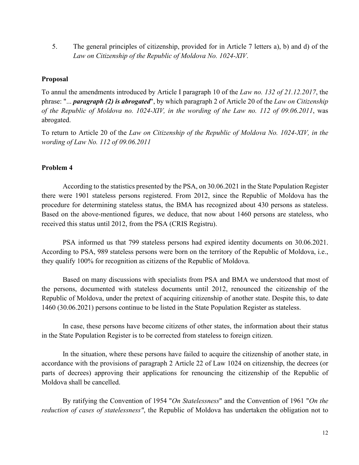5. The general principles of citizenship, provided for in Article 7 letters a), b) and d) of the *Law on Citizenship of the Republic of Moldova No. 1024-XIV*.

# **Proposal**

To annul the amendments introduced by Article I paragraph 10 of the *Law no. 132 of 21.12.2017*, the phrase: "... *paragraph (2) is abrogated*", by which paragraph 2 of Article 20 of the *Law on Citizenship of the Republic of Moldova no. 1024-XIV, in the wording of the Law no. 112 of 09.06.2011*, was abrogated.

To return to Article 20 of the *Law on Citizenship of the Republic of Moldova No. 1024-XIV, in the wording of Law No. 112 of 09.06.2011*

# **Problem 4**

According to the statistics presented by the PSA, on 30.06.2021 in the State Population Register there were 1901 stateless persons registered. From 2012, since the Republic of Moldova has the procedure for determining stateless status, the BMA has recognized about 430 persons as stateless. Based on the above-mentioned figures, we deduce, that now about 1460 persons are stateless, who received this status until 2012, from the PSA (CRIS Registru).

PSA informed us that 799 stateless persons had expired identity documents on 30.06.2021. According to PSA, 989 stateless persons were born on the territory of the Republic of Moldova, i.e., they qualify 100% for recognition as citizens of the Republic of Moldova.

Based on many discussions with specialists from PSA and BMA we understood that most of the persons, documented with stateless documents until 2012, renounced the citizenship of the Republic of Moldova, under the pretext of acquiring citizenship of another state. Despite this, to date 1460 (30.06.2021) persons continue to be listed in the State Population Register as stateless.

In case, these persons have become citizens of other states, the information about their status in the State Population Register is to be corrected from stateless to foreign citizen.

In the situation, where these persons have failed to acquire the citizenship of another state, in accordance with the provisions of paragraph 2 Article 22 of Law 1024 on citizenship, the decrees (or parts of decrees) approving their applications for renouncing the citizenship of the Republic of Moldova shall be cancelled.

By ratifying the Convention of 1954 "*On Statelessness*" and the Convention of 1961 "*On the reduction of cases of statelessness"*, the Republic of Moldova has undertaken the obligation not to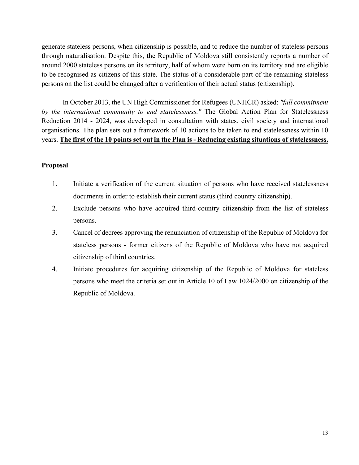generate stateless persons, when citizenship is possible, and to reduce the number of stateless persons through naturalisation. Despite this, the Republic of Moldova still consistently reports a number of around 2000 stateless persons on its territory, half of whom were born on its territory and are eligible to be recognised as citizens of this state. The status of a considerable part of the remaining stateless persons on the list could be changed after a verification of their actual status (citizenship).

In October 2013, the UN High Commissioner for Refugees (UNHCR) asked: *"full commitment by the international community to end statelessness."* The Global Action Plan for Statelessness Reduction 2014 - 2024, was developed in consultation with states, civil society and international organisations. The plan sets out a framework of 10 actions to be taken to end statelessness within 10 years. **The first of the 10 points set out in the Plan is - Reducing existing situations of statelessness.**

## **Proposal**

- 1. Initiate a verification of the current situation of persons who have received statelessness documents in order to establish their current status (third country citizenship).
- 2. Exclude persons who have acquired third-country citizenship from the list of stateless persons.
- 3. Cancel of decrees approving the renunciation of citizenship of the Republic of Moldova for stateless persons - former citizens of the Republic of Moldova who have not acquired citizenship of third countries.
- 4. Initiate procedures for acquiring citizenship of the Republic of Moldova for stateless persons who meet the criteria set out in Article 10 of Law 1024/2000 on citizenship of the Republic of Moldova.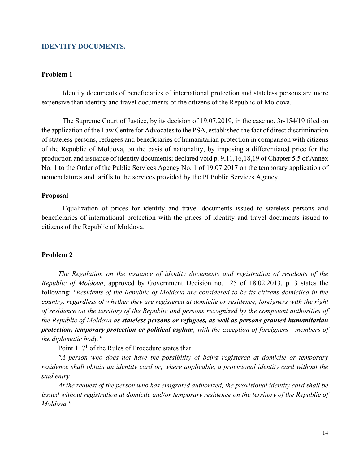## **IDENTITY DOCUMENTS.**

#### **Problem 1**

Identity documents of beneficiaries of international protection and stateless persons are more expensive than identity and travel documents of the citizens of the Republic of Moldova.

The Supreme Court of Justice, by its decision of 19.07.2019, in the case no. 3r-154/19 filed on the application of the Law Centre for Advocates to the PSA, established the fact of direct discrimination of stateless persons, refugees and beneficiaries of humanitarian protection in comparison with citizens of the Republic of Moldova, on the basis of nationality, by imposing a differentiated price for the production and issuance of identity documents; declared void p. 9,11,16,18,19 of Chapter 5.5 of Annex No. 1 to the Order of the Public Services Agency No. 1 of 19.07.2017 on the temporary application of nomenclatures and tariffs to the services provided by the PI Public Services Agency.

## **Proposal**

Equalization of prices for identity and travel documents issued to stateless persons and beneficiaries of international protection with the prices of identity and travel documents issued to citizens of the Republic of Moldova.

## **Problem 2**

*The Regulation on the issuance of identity documents and registration of residents of the Republic of Moldova*, approved by Government Decision no. 125 of 18.02.2013, p. 3 states the following: *"Residents of the Republic of Moldova are considered to be its citizens domiciled in the country, regardless of whether they are registered at domicile or residence, foreigners with the right of residence on the territory of the Republic and persons recognized by the competent authorities of the Republic of Moldova as stateless persons or refugees, as well as persons granted humanitarian protection, temporary protection or political asylum, with the exception of foreigners - members of the diplomatic body."* 

Point  $117<sup>1</sup>$  of the Rules of Procedure states that:

*"A person who does not have the possibility of being registered at domicile or temporary residence shall obtain an identity card or, where applicable, a provisional identity card without the said entry.*

*At the request of the person who has emigrated authorized, the provisional identity card shall be issued without registration at domicile and/or temporary residence on the territory of the Republic of Moldova."*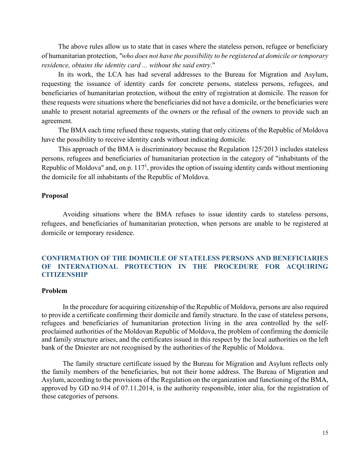The above rules allow us to state that in cases where the stateless person, refugee or beneficiary of humanitarian protection, *"who does not have the possibility to be registered at domicile or temporary residence, obtains the identity card ... without the said entry*."

In its work, the LCA has had several addresses to the Bureau for Migration and Asylum, requesting the issuance of identity cards for concrete persons, stateless persons, refugees, and beneficiaries of humanitarian protection, without the entry of registration at domicile. The reason for these requests were situations where the beneficiaries did not have a domicile, or the beneficiaries were unable to present notarial agreements of the owners or the refusal of the owners to provide such an agreement.

The BMA each time refused these requests, stating that only citizens of the Republic of Moldova have the possibility to receive identity cards without indicating domicile.

This approach of the BMA is discriminatory because the Regulation 125/2013 includes stateless persons, refugees and beneficiaries of humanitarian protection in the category of "inhabitants of the Republic of Moldova" and, on p.  $117<sup>1</sup>$ , provides the option of issuing identity cards without mentioning the domicile for all inhabitants of the Republic of Moldova.

## **Proposal**

Avoiding situations where the BMA refuses to issue identity cards to stateless persons, refugees, and beneficiaries of humanitarian protection, when persons are unable to be registered at domicile or temporary residence.

## **CONFIRMATION OF THE DOMICILE OF STATELESS PERSONS AND BENEFICIARIES OF INTERNATIONAL PROTECTION IN THE PROCEDURE FOR ACQUIRING CITIZENSHIP**

## **Problem**

In the procedure for acquiring citizenship of the Republic of Moldova, persons are also required to provide a certificate confirming their domicile and family structure. In the case of stateless persons, refugees and beneficiaries of humanitarian protection living in the area controlled by the selfproclaimed authorities of the Moldovan Republic of Moldova, the problem of confirming the domicile and family structure arises, and the certificates issued in this respect by the local authorities on the left bank of the Dniester are not recognised by the authorities of the Republic of Moldova.

The family structure certificate issued by the Bureau for Migration and Asylum reflects only the family members of the beneficiaries, but not their home address. The Bureau of Migration and Asylum, according to the provisions of the Regulation on the organization and functioning of the BMA, approved by GD no.914 of 07.11.2014, is the authority responsible, inter alia, for the registration of these categories of persons.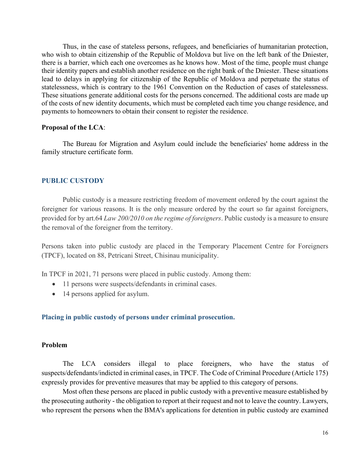Thus, in the case of stateless persons, refugees, and beneficiaries of humanitarian protection, who wish to obtain citizenship of the Republic of Moldova but live on the left bank of the Dniester, there is a barrier, which each one overcomes as he knows how. Most of the time, people must change their identity papers and establish another residence on the right bank of the Dniester. These situations lead to delays in applying for citizenship of the Republic of Moldova and perpetuate the status of statelessness, which is contrary to the 1961 Convention on the Reduction of cases of statelessness. These situations generate additional costs for the persons concerned. The additional costs are made up of the costs of new identity documents, which must be completed each time you change residence, and payments to homeowners to obtain their consent to register the residence.

#### **Proposal of the LCA**:

The Bureau for Migration and Asylum could include the beneficiaries' home address in the family structure certificate form.

## **PUBLIC CUSTODY**

Public custody is a measure restricting freedom of movement ordered by the court against the foreigner for various reasons. It is the only measure ordered by the court so far against foreigners, provided for by art.64 *Law 200/2010 on the regime of foreigners*. Public custody is a measure to ensure the removal of the foreigner from the territory.

Persons taken into public custody are placed in the Temporary Placement Centre for Foreigners (TPCF), located on 88, Petricani Street, Chisinau municipality.

In TPCF in 2021, 71 persons were placed in public custody. Among them:

- 11 persons were suspects/defendants in criminal cases.
- 14 persons applied for asylum.

#### **Placing in public custody of persons under criminal prosecution.**

#### **Problem**

The LCA considers illegal to place foreigners, who have the status of suspects/defendants/indicted in criminal cases, in TPCF. The Code of Criminal Procedure (Article 175) expressly provides for preventive measures that may be applied to this category of persons.

Most often these persons are placed in public custody with a preventive measure established by the prosecuting authority - the obligation to report at their request and not to leave the country. Lawyers, who represent the persons when the BMA's applications for detention in public custody are examined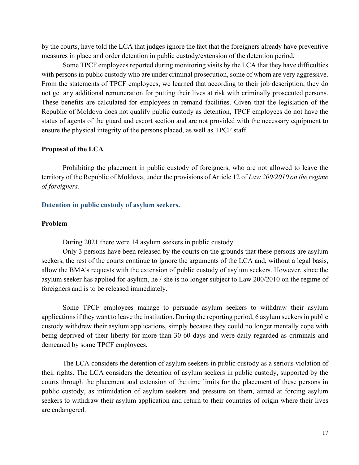by the courts, have told the LCA that judges ignore the fact that the foreigners already have preventive measures in place and order detention in public custody/extension of the detention period.

Some TPCF employees reported during monitoring visits by the LCA that they have difficulties with persons in public custody who are under criminal prosecution, some of whom are very aggressive. From the statements of TPCF employees, we learned that according to their job description, they do not get any additional remuneration for putting their lives at risk with criminally prosecuted persons. These benefits are calculated for employees in remand facilities. Given that the legislation of the Republic of Moldova does not qualify public custody as detention, TPCF employees do not have the status of agents of the guard and escort section and are not provided with the necessary equipment to ensure the physical integrity of the persons placed, as well as TPCF staff.

#### **Proposal of the LCA**

Prohibiting the placement in public custody of foreigners, who are not allowed to leave the territory of the Republic of Moldova, under the provisions of Article 12 of *Law 200/2010 on the regime of foreigners.*

#### **Detention in public custody of asylum seekers.**

## **Problem**

During 2021 there were 14 asylum seekers in public custody.

Only 3 persons have been released by the courts on the grounds that these persons are asylum seekers, the rest of the courts continue to ignore the arguments of the LCA and, without a legal basis, allow the BMA's requests with the extension of public custody of asylum seekers. However, since the asylum seeker has applied for asylum, he / she is no longer subject to Law 200/2010 on the regime of foreigners and is to be released immediately.

Some TPCF employees manage to persuade asylum seekers to withdraw their asylum applications if they want to leave the institution. During the reporting period, 6 asylum seekers in public custody withdrew their asylum applications, simply because they could no longer mentally cope with being deprived of their liberty for more than 30-60 days and were daily regarded as criminals and demeaned by some TPCF employees.

The LCA considers the detention of asylum seekers in public custody as a serious violation of their rights. The LCA considers the detention of asylum seekers in public custody, supported by the courts through the placement and extension of the time limits for the placement of these persons in public custody, as intimidation of asylum seekers and pressure on them, aimed at forcing asylum seekers to withdraw their asylum application and return to their countries of origin where their lives are endangered.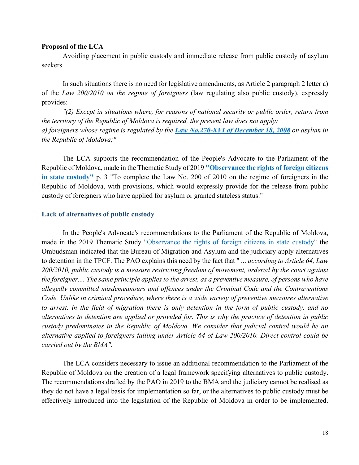#### **Proposal of the LCA**

Avoiding placement in public custody and immediate release from public custody of asylum seekers.

In such situations there is no need for legislative amendments, as Article 2 paragraph 2 letter a) of the *Law 200/2010 on the regime of foreigners* (law regulating also public custody), expressly provides:

*"(2) Except in situations where, for reasons of national security or public order, return from the territory of the Republic of Moldova is required, the present law does not apply: a) foreigners whose regime is regulated by the Law No.270-XVI of December 18, 2008 on asylum in the Republic of Moldova;"* 

The LCA supports the recommendation of the People's Advocate to the Parliament of the Republic of Moldova, made in the Thematic Study of 2019 **"Observance the rights of foreign citizens in state custody"** p. 3 "To complete the Law No. 200 of 2010 on the regime of foreigners in the Republic of Moldova, with provisions, which would expressly provide for the release from public custody of foreigners who have applied for asylum or granted stateless status."

## **Lack of alternatives of public custody**

In the People's Advocate's recommendations to the Parliament of the Republic of Moldova, made in the 2019 Thematic Study "Observance the rights of foreign citizens in state custody" the Ombudsman indicated that the Bureau of Migration and Asylum and the judiciary apply alternatives to detention in the TPCF. The PAO explains this need by the fact that " ... *according to Article 64, Law 200/2010, public custody is a measure restricting freedom of movement, ordered by the court against the foreigner.... The same principle applies to the arrest, as a preventive measure, of persons who have allegedly committed misdemeanours and offences under the Criminal Code and the Contraventions Code. Unlike in criminal procedure, where there is a wide variety of preventive measures alternative to arrest, in the field of migration there is only detention in the form of public custody, and no alternatives to detention are applied or provided for. This is why the practice of detention in public custody predominates in the Republic of Moldova. We consider that judicial control would be an alternative applied to foreigners falling under Article 64 of Law 200/2010. Direct control could be carried out by the BMA".*

The LCA considers necessary to issue an additional recommendation to the Parliament of the Republic of Moldova on the creation of a legal framework specifying alternatives to public custody. The recommendations drafted by the PAO in 2019 to the BMA and the judiciary cannot be realised as they do not have a legal basis for implementation so far, or the alternatives to public custody must be effectively introduced into the legislation of the Republic of Moldova in order to be implemented.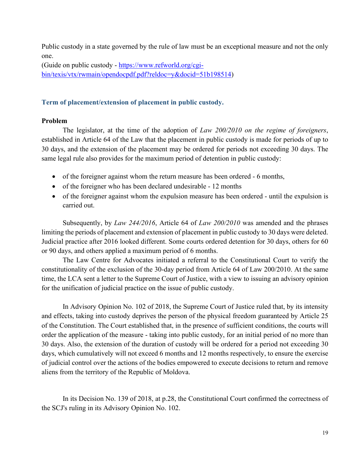Public custody in a state governed by the rule of law must be an exceptional measure and not the only one.

(Guide on public custody - [https://www.refworld.org/cgi](https://www.refworld.org/cgi-bin/texis/vtx/rwmain/opendocpdf.pdf?reldoc=y&docid=51b198514)[bin/texis/vtx/rwmain/opendocpdf.pdf?reldoc=y&docid=51b198514\)](https://www.refworld.org/cgi-bin/texis/vtx/rwmain/opendocpdf.pdf?reldoc=y&docid=51b198514)

# **Term of placement/extension of placement in public custody.**

# **Problem**

The legislator, at the time of the adoption of *Law 200/2010 on the regime of foreigners*, established in Article 64 of the Law that the placement in public custody is made for periods of up to 30 days, and the extension of the placement may be ordered for periods not exceeding 30 days. The same legal rule also provides for the maximum period of detention in public custody:

- of the foreigner against whom the return measure has been ordered 6 months,
- of the foreigner who has been declared undesirable 12 months
- of the foreigner against whom the expulsion measure has been ordered until the expulsion is carried out.

Subsequently, by *Law 244/2016*, Article 64 of *Law 200/2010* was amended and the phrases limiting the periods of placement and extension of placement in public custody to 30 days were deleted. Judicial practice after 2016 looked different. Some courts ordered detention for 30 days, others for 60 or 90 days, and others applied a maximum period of 6 months.

The Law Centre for Advocates initiated a referral to the Constitutional Court to verify the constitutionality of the exclusion of the 30-day period from Article 64 of Law 200/2010. At the same time, the LCA sent a letter to the Supreme Court of Justice, with a view to issuing an advisory opinion for the unification of judicial practice on the issue of public custody.

In Advisory Opinion No. 102 of 2018, the Supreme Court of Justice ruled that, by its intensity and effects, taking into custody deprives the person of the physical freedom guaranteed by Article 25 of the Constitution. The Court established that, in the presence of sufficient conditions, the courts will order the application of the measure - taking into public custody, for an initial period of no more than 30 days. Also, the extension of the duration of custody will be ordered for a period not exceeding 30 days, which cumulatively will not exceed 6 months and 12 months respectively, to ensure the exercise of judicial control over the actions of the bodies empowered to execute decisions to return and remove aliens from the territory of the Republic of Moldova.

In its Decision No. 139 of 2018, at p.28, the Constitutional Court confirmed the correctness of the SCJ's ruling in its Advisory Opinion No. 102.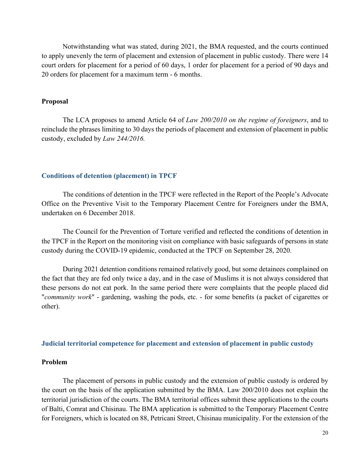Notwithstanding what was stated, during 2021, the BMA requested, and the courts continued to apply unevenly the term of placement and extension of placement in public custody. There were 14 court orders for placement for a period of 60 days, 1 order for placement for a period of 90 days and 20 orders for placement for a maximum term - 6 months.

## **Proposal**

The LCA proposes to amend Article 64 of *Law 200/2010 on the regime of foreigners*, and to reinclude the phrases limiting to 30 days the periods of placement and extension of placement in public custody, excluded by *Law 244/2016.*

## **Conditions of detention (placement) in TPCF**

The conditions of detention in the TPCF were reflected in the Report of the People's Advocate Office on the Preventive Visit to the Temporary Placement Centre for Foreigners under the BMA, undertaken on 6 December 2018.

The Council for the Prevention of Torture verified and reflected the conditions of detention in the TPCF in the Report on the monitoring visit on compliance with basic safeguards of persons in state custody during the COVID-19 epidemic, conducted at the TPCF on September 28, 2020.

During 2021 detention conditions remained relatively good, but some detainees complained on the fact that they are fed only twice a day, and in the case of Muslims it is not always considered that these persons do not eat pork. In the same period there were complaints that the people placed did "*community work*" - gardening, washing the pods, etc. - for some benefits (a packet of cigarettes or other).

#### **Judicial territorial competence for placement and extension of placement in public custody**

## **Problem**

The placement of persons in public custody and the extension of public custody is ordered by the court on the basis of the application submitted by the BMA. Law 200/2010 does not explain the territorial jurisdiction of the courts. The BMA territorial offices submit these applications to the courts of Balti, Comrat and Chisinau. The BMA application is submitted to the Temporary Placement Centre for Foreigners, which is located on 88, Petricani Street, Chisinau municipality. For the extension of the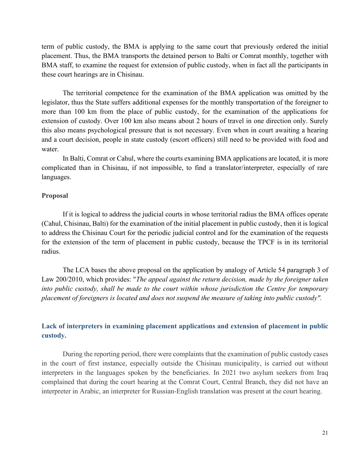term of public custody, the BMA is applying to the same court that previously ordered the initial placement. Thus, the BMA transports the detained person to Balti or Comrat monthly, together with BMA staff, to examine the request for extension of public custody, when in fact all the participants in these court hearings are in Chisinau.

The territorial competence for the examination of the BMA application was omitted by the legislator, thus the State suffers additional expenses for the monthly transportation of the foreigner to more than 100 km from the place of public custody, for the examination of the applications for extension of custody. Over 100 km also means about 2 hours of travel in one direction only. Surely this also means psychological pressure that is not necessary. Even when in court awaiting a hearing and a court decision, people in state custody (escort officers) still need to be provided with food and water.

In Balti, Comrat or Cahul, where the courts examining BMA applications are located, it is more complicated than in Chisinau, if not impossible, to find a translator/interpreter, especially of rare languages.

## **Proposal**

If it is logical to address the judicial courts in whose territorial radius the BMA offices operate (Cahul, Chisinau, Balti) for the examination of the initial placement in public custody, then it is logical to address the Chisinau Court for the periodic judicial control and for the examination of the requests for the extension of the term of placement in public custody, because the TPCF is in its territorial radius.

The LCA bases the above proposal on the application by analogy of Article 54 paragraph 3 of Law 200/2010, which provides: "*The appeal against the return decision, made by the foreigner taken into public custody, shall be made to the court within whose jurisdiction the Centre for temporary placement of foreigners is located and does not suspend the measure of taking into public custody".*

# **Lack of interpreters in examining placement applications and extension of placement in public custody.**

During the reporting period, there were complaints that the examination of public custody cases in the court of first instance, especially outside the Chisinau municipality, is carried out without interpreters in the languages spoken by the beneficiaries. In 2021 two asylum seekers from Iraq complained that during the court hearing at the Comrat Court, Central Branch, they did not have an interpreter in Arabic, an interpreter for Russian-English translation was present at the court hearing.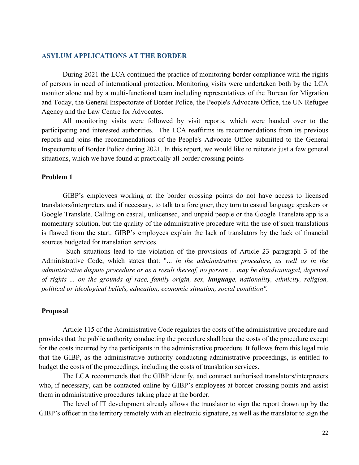## **ASYLUM APPLICATIONS AT THE BORDER**

During 2021 the LCA continued the practice of monitoring border compliance with the rights of persons in need of international protection. Monitoring visits were undertaken both by the LCA monitor alone and by a multi-functional team including representatives of the Bureau for Migration and Today, the General Inspectorate of Border Police, the People's Advocate Office, the UN Refugee Agency and the Law Centre for Advocates.

All monitoring visits were followed by visit reports, which were handed over to the participating and interested authorities. The LCA reaffirms its recommendations from its previous reports and joins the recommendations of the People's Advocate Office submitted to the General Inspectorate of Border Police during 2021. In this report, we would like to reiterate just a few general situations, which we have found at practically all border crossing points

#### **Problem 1**

GIBP's employees working at the border crossing points do not have access to licensed translators/interpreters and if necessary, to talk to a foreigner, they turn to casual language speakers or Google Translate. Calling on casual, unlicensed, and unpaid people or the Google Translate app is a momentary solution, but the quality of the administrative procedure with the use of such translations is flawed from the start. GIBP's employees explain the lack of translators by the lack of financial sources budgeted for translation services.

 Such situations lead to the violation of the provisions of Article 23 paragraph 3 of the Administrative Code, which states that: "... *in the administrative procedure, as well as in the administrative dispute procedure or as a result thereof, no person ... may be disadvantaged, deprived of rights ... on the grounds of race, family origin, sex, language, nationality, ethnicity, religion, political or ideological beliefs, education, economic situation, social condition".*

#### **Proposal**

Article 115 of the Administrative Code regulates the costs of the administrative procedure and provides that the public authority conducting the procedure shall bear the costs of the procedure except for the costs incurred by the participants in the administrative procedure. It follows from this legal rule that the GIBP, as the administrative authority conducting administrative proceedings, is entitled to budget the costs of the proceedings, including the costs of translation services.

The LCA recommends that the GIBP identify, and contract authorised translators/interpreters who, if necessary, can be contacted online by GIBP's employees at border crossing points and assist them in administrative procedures taking place at the border.

The level of IT development already allows the translator to sign the report drawn up by the GIBP's officer in the territory remotely with an electronic signature, as well as the translator to sign the